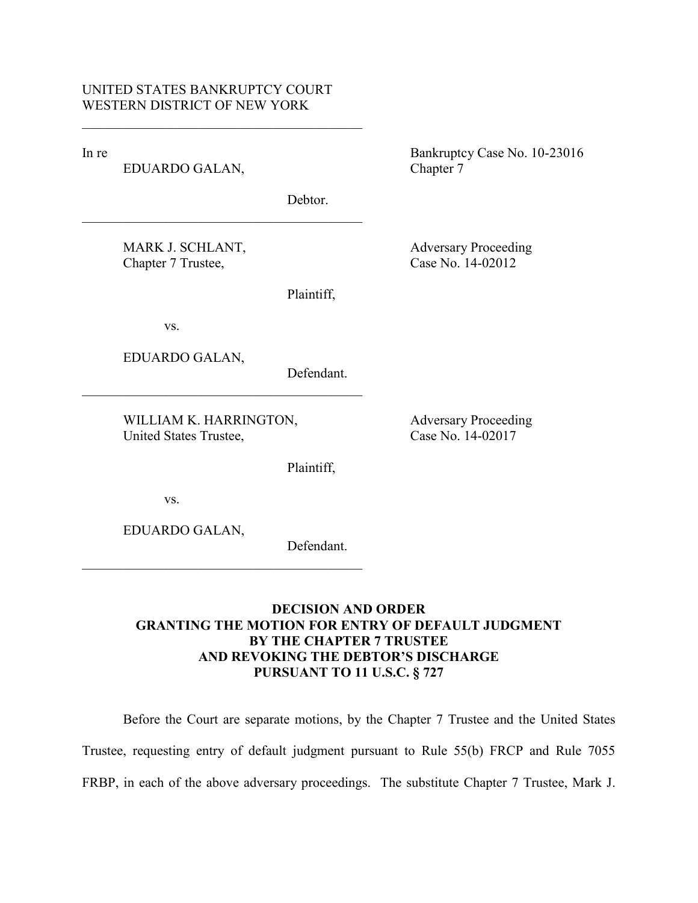$\mathcal{L}_\text{max}$  , and the set of the set of the set of the set of the set of the set of the set of the set of the set of the set of the set of the set of the set of the set of the set of the set of the set of the set of the

 $\mathcal{L}_\text{max}$  , and the set of the set of the set of the set of the set of the set of the set of the set of the set of the set of the set of the set of the set of the set of the set of the set of the set of the set of the

EDUARDO GALAN, Chapter 7

In re Bankruptcy Case No. 10-23016

Debtor.

MARK J. SCHLANT, Adversary Proceeding Chapter 7 Trustee, Case No. 14-02012

Plaintiff,

vs.

EDUARDO GALAN,

Defendant.

WILLIAM K. HARRINGTON, Adversary Proceeding United States Trustee, Case No. 14-02017

 $\mathcal{L}_\text{max}$  , and the set of the set of the set of the set of the set of the set of the set of the set of the set of the set of the set of the set of the set of the set of the set of the set of the set of the set of the

 $\mathcal{L}_\text{max}$  , and the set of the set of the set of the set of the set of the set of the set of the set of the set of the set of the set of the set of the set of the set of the set of the set of the set of the set of the

vs.

EDUARDO GALAN,

Defendant.

Plaintiff,

# **DECISION AND ORDER GRANTING THE MOTION FOR ENTRY OF DEFAULT JUDGMENT BY THE CHAPTER 7 TRUSTEE AND REVOKING THE DEBTOR'S DISCHARGE PURSUANT TO 11 U.S.C. § 727**

Before the Court are separate motions, by the Chapter 7 Trustee and the United States Trustee, requesting entry of default judgment pursuant to Rule 55(b) FRCP and Rule 7055 FRBP, in each of the above adversary proceedings. The substitute Chapter 7 Trustee, Mark J.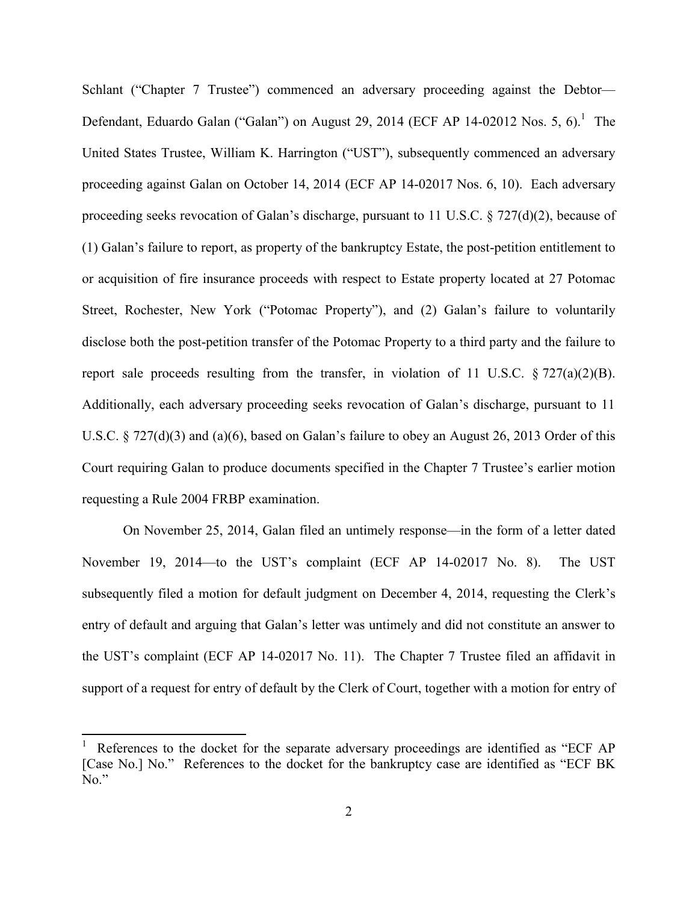Schlant ("Chapter 7 Trustee") commenced an adversary proceeding against the Debtor— Defendant, Eduardo Galan ("Galan") on August 29, 2014 (ECF AP 14-02012 Nos. 5, 6).<sup>1</sup> The United States Trustee, William K. Harrington ("UST"), subsequently commenced an adversary proceeding against Galan on October 14, 2014 (ECF AP 14-02017 Nos. 6, 10). Each adversary proceeding seeks revocation of Galan's discharge, pursuant to 11 U.S.C. § 727(d)(2), because of (1) Galan's failure to report, as property of the bankruptcy Estate, the post-petition entitlement to or acquisition of fire insurance proceeds with respect to Estate property located at 27 Potomac Street, Rochester, New York ("Potomac Property"), and (2) Galan's failure to voluntarily disclose both the post-petition transfer of the Potomac Property to a third party and the failure to report sale proceeds resulting from the transfer, in violation of 11 U.S.C.  $\S 727(a)(2)(B)$ . Additionally, each adversary proceeding seeks revocation of Galan's discharge, pursuant to 11 U.S.C. § 727(d)(3) and (a)(6), based on Galan's failure to obey an August 26, 2013 Order of this Court requiring Galan to produce documents specified in the Chapter 7 Trustee's earlier motion requesting a Rule 2004 FRBP examination.

On November 25, 2014, Galan filed an untimely response—in the form of a letter dated November 19, 2014—to the UST's complaint (ECF AP 14-02017 No. 8). The UST subsequently filed a motion for default judgment on December 4, 2014, requesting the Clerk's entry of default and arguing that Galan's letter was untimely and did not constitute an answer to the UST's complaint (ECF AP 14-02017 No. 11). The Chapter 7 Trustee filed an affidavit in support of a request for entry of default by the Clerk of Court, together with a motion for entry of

 $\overline{\phantom{a}}$ 

References to the docket for the separate adversary proceedings are identified as "ECF AP [Case No.] No." References to the docket for the bankruptcy case are identified as "ECF BK No."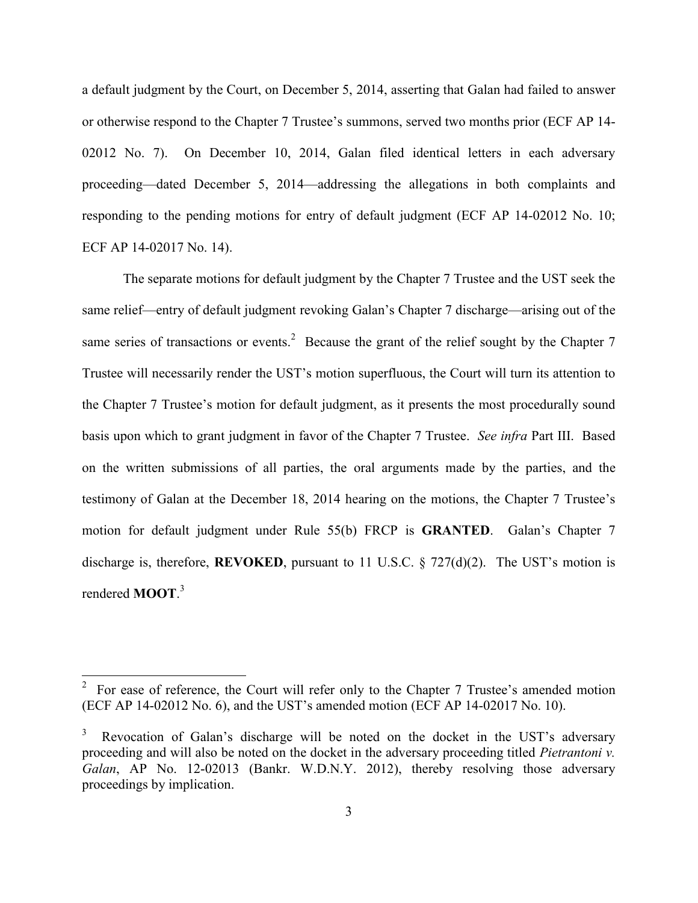a default judgment by the Court, on December 5, 2014, asserting that Galan had failed to answer or otherwise respond to the Chapter 7 Trustee's summons, served two months prior (ECF AP 14- 02012 No. 7). On December 10, 2014, Galan filed identical letters in each adversary proceeding—dated December 5, 2014—addressing the allegations in both complaints and responding to the pending motions for entry of default judgment (ECF AP 14-02012 No. 10; ECF AP 14-02017 No. 14).

The separate motions for default judgment by the Chapter 7 Trustee and the UST seek the same relief—entry of default judgment revoking Galan's Chapter 7 discharge—arising out of the same series of transactions or events.<sup>2</sup> Because the grant of the relief sought by the Chapter 7 Trustee will necessarily render the UST's motion superfluous, the Court will turn its attention to the Chapter 7 Trustee's motion for default judgment, as it presents the most procedurally sound basis upon which to grant judgment in favor of the Chapter 7 Trustee. *See infra* Part III. Based on the written submissions of all parties, the oral arguments made by the parties, and the testimony of Galan at the December 18, 2014 hearing on the motions, the Chapter 7 Trustee's motion for default judgment under Rule 55(b) FRCP is **GRANTED**. Galan's Chapter 7 discharge is, therefore, **REVOKED**, pursuant to 11 U.S.C. § 727(d)(2). The UST's motion is rendered **MOOT**. 3

 $\overline{a}$ 

<sup>&</sup>lt;sup>2</sup> For ease of reference, the Court will refer only to the Chapter 7 Trustee's amended motion (ECF AP 14-02012 No. 6), and the UST's amended motion (ECF AP 14-02017 No. 10).

<sup>3</sup> Revocation of Galan's discharge will be noted on the docket in the UST's adversary proceeding and will also be noted on the docket in the adversary proceeding titled *Pietrantoni v. Galan*, AP No. 12-02013 (Bankr. W.D.N.Y. 2012), thereby resolving those adversary proceedings by implication.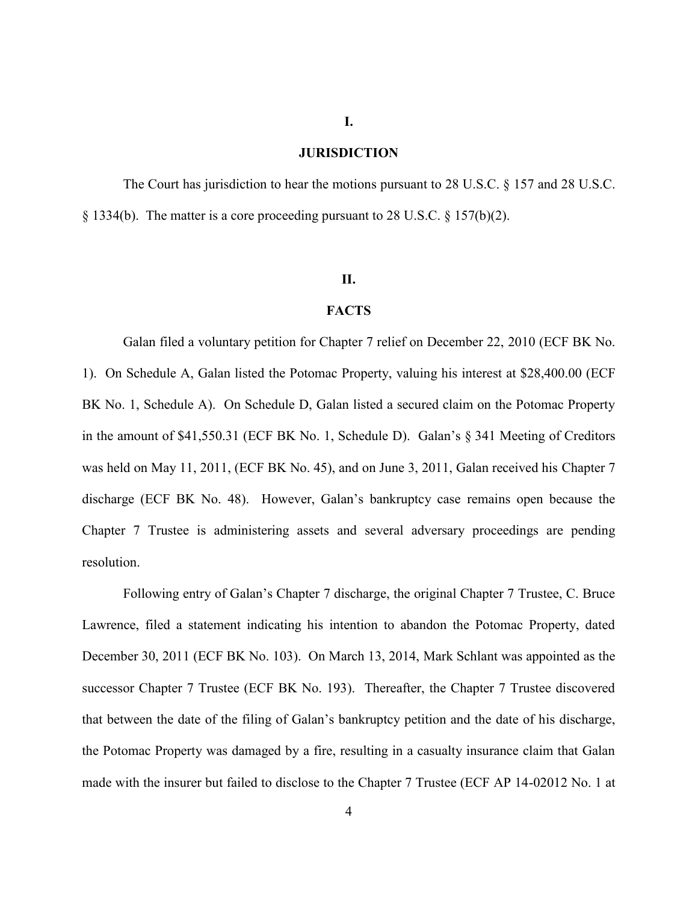### **JURISDICTION**

**I.**

The Court has jurisdiction to hear the motions pursuant to 28 U.S.C. § 157 and 28 U.S.C.  $\S$  1334(b). The matter is a core proceeding pursuant to 28 U.S.C.  $\S$  157(b)(2).

## **II.**

# **FACTS**

Galan filed a voluntary petition for Chapter 7 relief on December 22, 2010 (ECF BK No. 1). On Schedule A, Galan listed the Potomac Property, valuing his interest at \$28,400.00 (ECF BK No. 1, Schedule A). On Schedule D, Galan listed a secured claim on the Potomac Property in the amount of \$41,550.31 (ECF BK No. 1, Schedule D). Galan's § 341 Meeting of Creditors was held on May 11, 2011, (ECF BK No. 45), and on June 3, 2011, Galan received his Chapter 7 discharge (ECF BK No. 48). However, Galan's bankruptcy case remains open because the Chapter 7 Trustee is administering assets and several adversary proceedings are pending resolution.

Following entry of Galan's Chapter 7 discharge, the original Chapter 7 Trustee, C. Bruce Lawrence, filed a statement indicating his intention to abandon the Potomac Property, dated December 30, 2011 (ECF BK No. 103). On March 13, 2014, Mark Schlant was appointed as the successor Chapter 7 Trustee (ECF BK No. 193). Thereafter, the Chapter 7 Trustee discovered that between the date of the filing of Galan's bankruptcy petition and the date of his discharge, the Potomac Property was damaged by a fire, resulting in a casualty insurance claim that Galan made with the insurer but failed to disclose to the Chapter 7 Trustee (ECF AP 14-02012 No. 1 at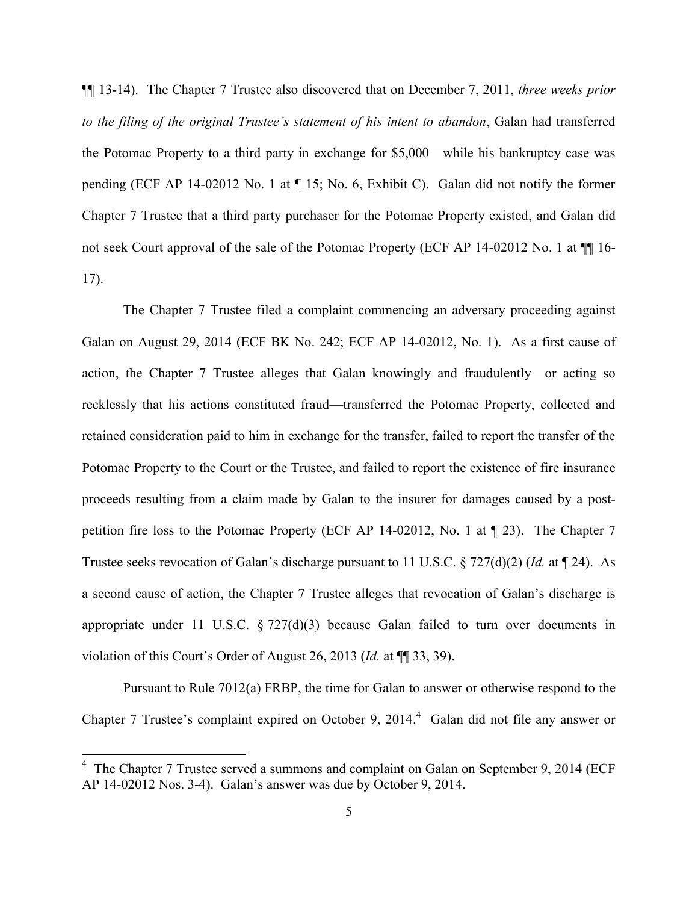¶¶ 13-14). The Chapter 7 Trustee also discovered that on December 7, 2011, *three weeks prior to the filing of the original Trustee's statement of his intent to abandon*, Galan had transferred the Potomac Property to a third party in exchange for \$5,000—while his bankruptcy case was pending (ECF AP 14-02012 No. 1 at ¶ 15; No. 6, Exhibit C). Galan did not notify the former Chapter 7 Trustee that a third party purchaser for the Potomac Property existed, and Galan did not seek Court approval of the sale of the Potomac Property (ECF AP 14-02012 No. 1 at  $\P$  16-17).

The Chapter 7 Trustee filed a complaint commencing an adversary proceeding against Galan on August 29, 2014 (ECF BK No. 242; ECF AP 14-02012, No. 1). As a first cause of action, the Chapter 7 Trustee alleges that Galan knowingly and fraudulently—or acting so recklessly that his actions constituted fraud—transferred the Potomac Property, collected and retained consideration paid to him in exchange for the transfer, failed to report the transfer of the Potomac Property to the Court or the Trustee, and failed to report the existence of fire insurance proceeds resulting from a claim made by Galan to the insurer for damages caused by a postpetition fire loss to the Potomac Property (ECF AP 14-02012, No. 1 at ¶ 23). The Chapter 7 Trustee seeks revocation of Galan's discharge pursuant to 11 U.S.C. § 727(d)(2) (*Id.* at ¶ 24). As a second cause of action, the Chapter 7 Trustee alleges that revocation of Galan's discharge is appropriate under 11 U.S.C.  $\S 727(d)(3)$  because Galan failed to turn over documents in violation of this Court's Order of August 26, 2013 (*Id.* at ¶¶ 33, 39).

Pursuant to Rule 7012(a) FRBP, the time for Galan to answer or otherwise respond to the Chapter 7 Trustee's complaint expired on October 9, 2014. 4 Galan did not file any answer or

 $\overline{a}$ 

<sup>&</sup>lt;sup>4</sup> The Chapter 7 Trustee served a summons and complaint on Galan on September 9, 2014 (ECF AP 14-02012 Nos. 3-4). Galan's answer was due by October 9, 2014.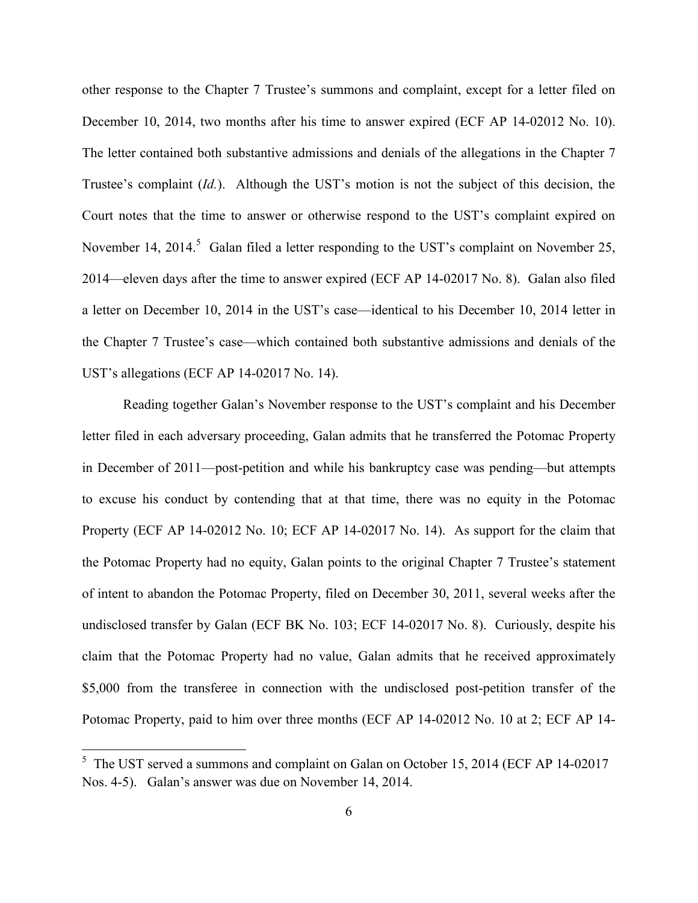other response to the Chapter 7 Trustee's summons and complaint, except for a letter filed on December 10, 2014, two months after his time to answer expired (ECF AP 14-02012 No. 10). The letter contained both substantive admissions and denials of the allegations in the Chapter 7 Trustee's complaint (*Id.*). Although the UST's motion is not the subject of this decision, the Court notes that the time to answer or otherwise respond to the UST's complaint expired on November 14, 2014.<sup>5</sup> Galan filed a letter responding to the UST's complaint on November 25, 2014—eleven days after the time to answer expired (ECF AP 14-02017 No. 8). Galan also filed a letter on December 10, 2014 in the UST's case—identical to his December 10, 2014 letter in the Chapter 7 Trustee's case—which contained both substantive admissions and denials of the UST's allegations (ECF AP 14-02017 No. 14).

Reading together Galan's November response to the UST's complaint and his December letter filed in each adversary proceeding, Galan admits that he transferred the Potomac Property in December of 2011—post-petition and while his bankruptcy case was pending—but attempts to excuse his conduct by contending that at that time, there was no equity in the Potomac Property (ECF AP 14-02012 No. 10; ECF AP 14-02017 No. 14). As support for the claim that the Potomac Property had no equity, Galan points to the original Chapter 7 Trustee's statement of intent to abandon the Potomac Property, filed on December 30, 2011, several weeks after the undisclosed transfer by Galan (ECF BK No. 103; ECF 14-02017 No. 8). Curiously, despite his claim that the Potomac Property had no value, Galan admits that he received approximately \$5,000 from the transferee in connection with the undisclosed post-petition transfer of the Potomac Property, paid to him over three months (ECF AP 14-02012 No. 10 at 2; ECF AP 14-

<sup>&</sup>lt;sup>5</sup> The UST served a summons and complaint on Galan on October 15, 2014 (ECF AP 14-02017) Nos. 4-5). Galan's answer was due on November 14, 2014.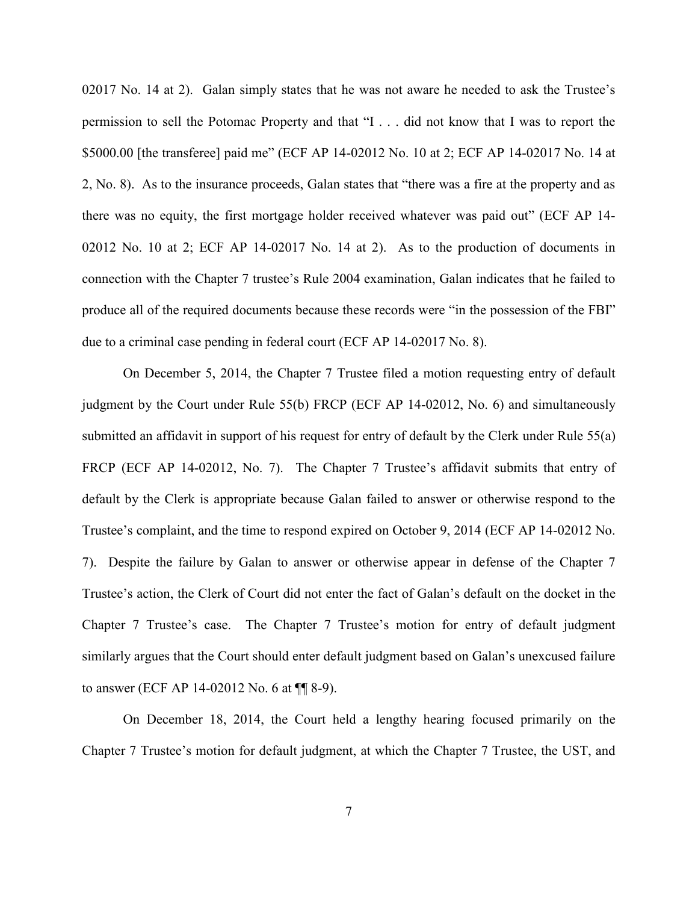02017 No. 14 at 2). Galan simply states that he was not aware he needed to ask the Trustee's permission to sell the Potomac Property and that "I . . . did not know that I was to report the \$5000.00 [the transferee] paid me" (ECF AP 14-02012 No. 10 at 2; ECF AP 14-02017 No. 14 at 2, No. 8). As to the insurance proceeds, Galan states that "there was a fire at the property and as there was no equity, the first mortgage holder received whatever was paid out" (ECF AP 14- 02012 No. 10 at 2; ECF AP 14-02017 No. 14 at 2). As to the production of documents in connection with the Chapter 7 trustee's Rule 2004 examination, Galan indicates that he failed to produce all of the required documents because these records were "in the possession of the FBI" due to a criminal case pending in federal court (ECF AP 14-02017 No. 8).

On December 5, 2014, the Chapter 7 Trustee filed a motion requesting entry of default judgment by the Court under Rule 55(b) FRCP (ECF AP 14-02012, No. 6) and simultaneously submitted an affidavit in support of his request for entry of default by the Clerk under Rule 55(a) FRCP (ECF AP 14-02012, No. 7). The Chapter 7 Trustee's affidavit submits that entry of default by the Clerk is appropriate because Galan failed to answer or otherwise respond to the Trustee's complaint, and the time to respond expired on October 9, 2014 (ECF AP 14-02012 No. 7). Despite the failure by Galan to answer or otherwise appear in defense of the Chapter 7 Trustee's action, the Clerk of Court did not enter the fact of Galan's default on the docket in the Chapter 7 Trustee's case. The Chapter 7 Trustee's motion for entry of default judgment similarly argues that the Court should enter default judgment based on Galan's unexcused failure to answer (ECF AP 14-02012 No. 6 at ¶¶ 8-9).

On December 18, 2014, the Court held a lengthy hearing focused primarily on the Chapter 7 Trustee's motion for default judgment, at which the Chapter 7 Trustee, the UST, and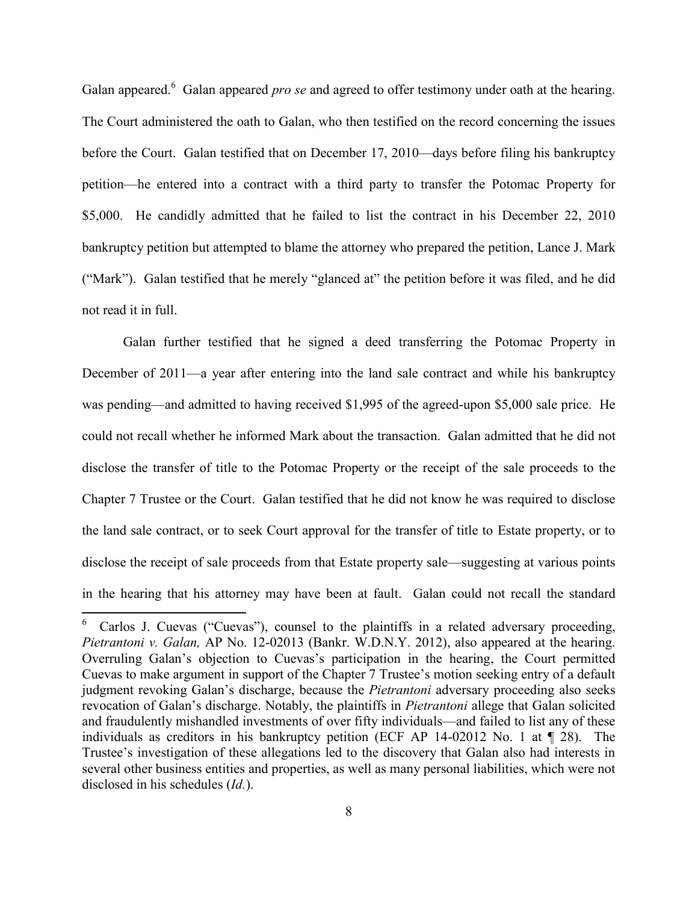Galan appeared.<sup>6</sup> Galan appeared *pro se* and agreed to offer testimony under oath at the hearing. The Court administered the oath to Galan, who then testified on the record concerning the issues before the Court. Galan testified that on December 17, 2010—days before filing his bankruptcy petition—he entered into a contract with a third party to transfer the Potomac Property for \$5,000. He candidly admitted that he failed to list the contract in his December 22, 2010 bankruptcy petition but attempted to blame the attorney who prepared the petition, Lance J. Mark ("Mark"). Galan testified that he merely "glanced at" the petition before it was filed, and he did not read it in full.

Galan further testified that he signed a deed transferring the Potomac Property in December of 2011—a year after entering into the land sale contract and while his bankruptcy was pending—and admitted to having received \$1,995 of the agreed-upon \$5,000 sale price. He could not recall whether he informed Mark about the transaction. Galan admitted that he did not disclose the transfer of title to the Potomac Property or the receipt of the sale proceeds to the Chapter 7 Trustee or the Court. Galan testified that he did not know he was required to disclose the land sale contract, or to seek Court approval for the transfer of title to Estate property, or to disclose the receipt of sale proceeds from that Estate property sale—suggesting at various points in the hearing that his attorney may have been at fault. Galan could not recall the standard

 $\overline{\phantom{a}}$ 

Carlos J. Cuevas ("Cuevas"), counsel to the plaintiffs in a related adversary proceeding, *Pietrantoni v. Galan,* AP No. 12-02013 (Bankr. W.D.N.Y. 2012), also appeared at the hearing. Overruling Galan's objection to Cuevas's participation in the hearing, the Court permitted Cuevas to make argument in support of the Chapter 7 Trustee's motion seeking entry of a default judgment revoking Galan's discharge, because the *Pietrantoni* adversary proceeding also seeks revocation of Galan's discharge. Notably, the plaintiffs in *Pietrantoni* allege that Galan solicited and fraudulently mishandled investments of over fifty individuals—and failed to list any of these individuals as creditors in his bankruptcy petition (ECF AP 14-02012 No. 1 at ¶ 28). The Trustee's investigation of these allegations led to the discovery that Galan also had interests in several other business entities and properties, as well as many personal liabilities, which were not disclosed in his schedules (*Id.*).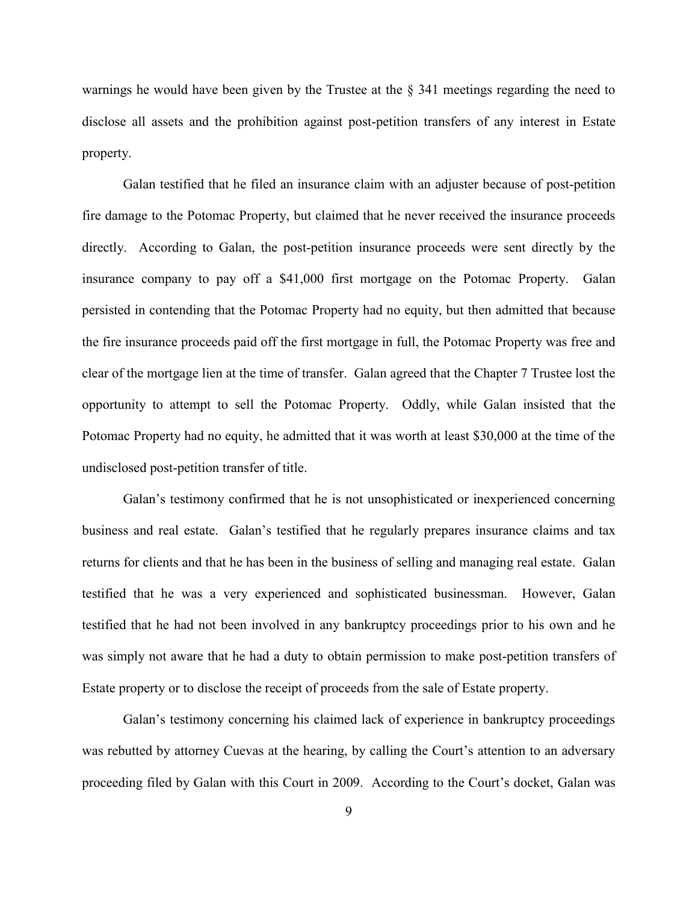warnings he would have been given by the Trustee at the § 341 meetings regarding the need to disclose all assets and the prohibition against post-petition transfers of any interest in Estate property.

Galan testified that he filed an insurance claim with an adjuster because of post-petition fire damage to the Potomac Property, but claimed that he never received the insurance proceeds directly. According to Galan, the post-petition insurance proceeds were sent directly by the insurance company to pay off a \$41,000 first mortgage on the Potomac Property. Galan persisted in contending that the Potomac Property had no equity, but then admitted that because the fire insurance proceeds paid off the first mortgage in full, the Potomac Property was free and clear of the mortgage lien at the time of transfer. Galan agreed that the Chapter 7 Trustee lost the opportunity to attempt to sell the Potomac Property. Oddly, while Galan insisted that the Potomac Property had no equity, he admitted that it was worth at least \$30,000 at the time of the undisclosed post-petition transfer of title.

Galan's testimony confirmed that he is not unsophisticated or inexperienced concerning business and real estate. Galan's testified that he regularly prepares insurance claims and tax returns for clients and that he has been in the business of selling and managing real estate. Galan testified that he was a very experienced and sophisticated businessman. However, Galan testified that he had not been involved in any bankruptcy proceedings prior to his own and he was simply not aware that he had a duty to obtain permission to make post-petition transfers of Estate property or to disclose the receipt of proceeds from the sale of Estate property.

Galan's testimony concerning his claimed lack of experience in bankruptcy proceedings was rebutted by attorney Cuevas at the hearing, by calling the Court's attention to an adversary proceeding filed by Galan with this Court in 2009. According to the Court's docket, Galan was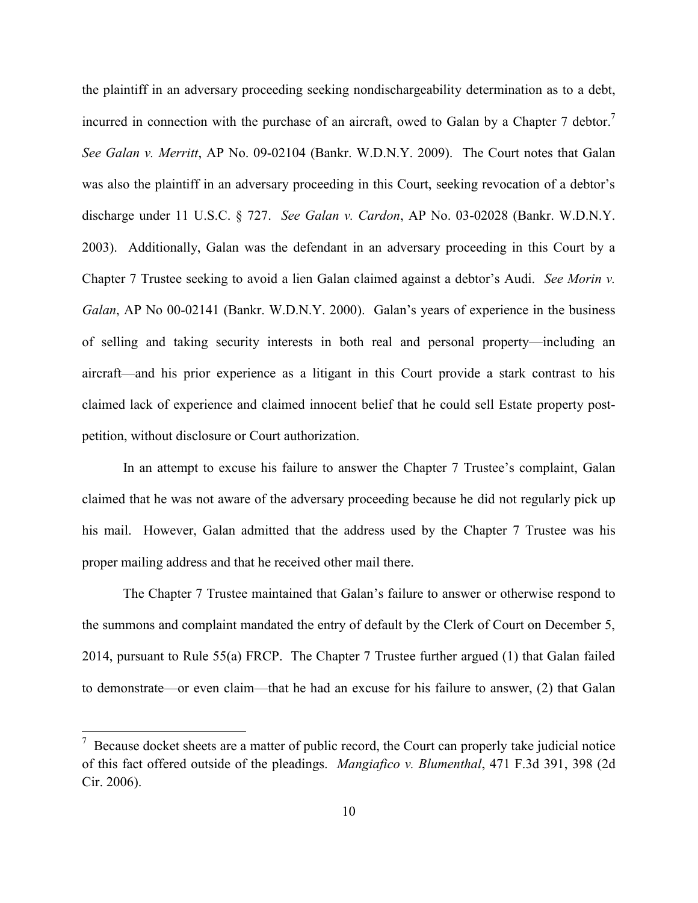the plaintiff in an adversary proceeding seeking nondischargeability determination as to a debt, incurred in connection with the purchase of an aircraft, owed to Galan by a Chapter 7 debtor.<sup>7</sup> *See Galan v. Merritt*, AP No. 09-02104 (Bankr. W.D.N.Y. 2009). The Court notes that Galan was also the plaintiff in an adversary proceeding in this Court, seeking revocation of a debtor's discharge under 11 U.S.C. § 727. *See Galan v. Cardon*, AP No. 03-02028 (Bankr. W.D.N.Y. 2003). Additionally, Galan was the defendant in an adversary proceeding in this Court by a Chapter 7 Trustee seeking to avoid a lien Galan claimed against a debtor's Audi. *See Morin v. Galan*, AP No 00-02141 (Bankr. W.D.N.Y. 2000). Galan's years of experience in the business of selling and taking security interests in both real and personal property—including an aircraft—and his prior experience as a litigant in this Court provide a stark contrast to his claimed lack of experience and claimed innocent belief that he could sell Estate property postpetition, without disclosure or Court authorization.

In an attempt to excuse his failure to answer the Chapter 7 Trustee's complaint, Galan claimed that he was not aware of the adversary proceeding because he did not regularly pick up his mail. However, Galan admitted that the address used by the Chapter 7 Trustee was his proper mailing address and that he received other mail there.

The Chapter 7 Trustee maintained that Galan's failure to answer or otherwise respond to the summons and complaint mandated the entry of default by the Clerk of Court on December 5, 2014, pursuant to Rule 55(a) FRCP. The Chapter 7 Trustee further argued (1) that Galan failed to demonstrate—or even claim—that he had an excuse for his failure to answer, (2) that Galan

 $\overline{\phantom{a}}$ 

 $\frac{7}{7}$  Because docket sheets are a matter of public record, the Court can properly take judicial notice of this fact offered outside of the pleadings. *Mangiafico v. Blumenthal*, 471 F.3d 391, 398 (2d Cir. 2006).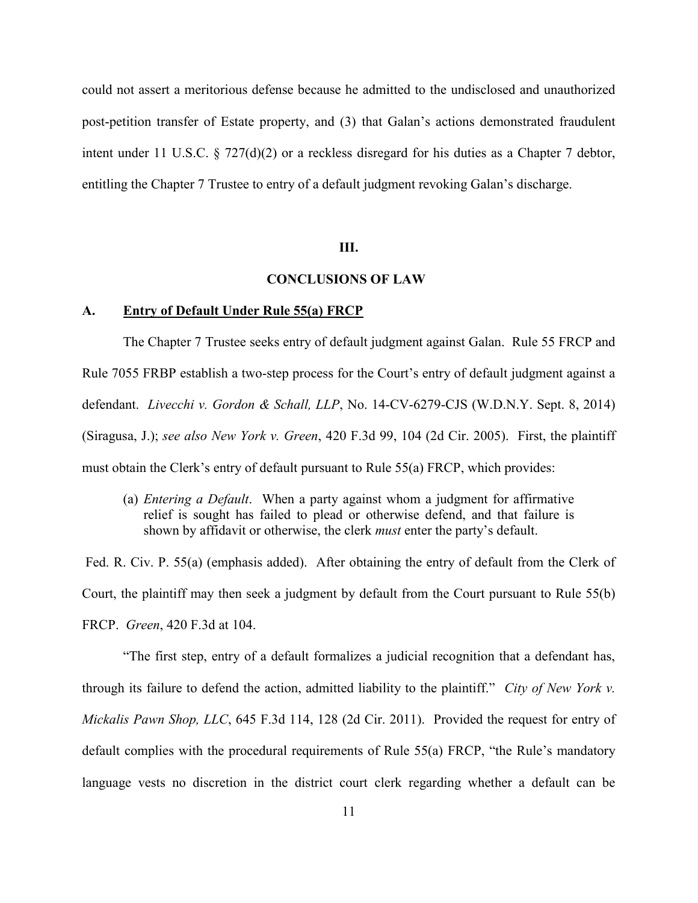could not assert a meritorious defense because he admitted to the undisclosed and unauthorized post-petition transfer of Estate property, and (3) that Galan's actions demonstrated fraudulent intent under 11 U.S.C. § 727(d)(2) or a reckless disregard for his duties as a Chapter 7 debtor, entitling the Chapter 7 Trustee to entry of a default judgment revoking Galan's discharge.

## **III.**

# **CONCLUSIONS OF LAW**

### **A. Entry of Default Under Rule 55(a) FRCP**

The Chapter 7 Trustee seeks entry of default judgment against Galan. Rule 55 FRCP and Rule 7055 FRBP establish a two-step process for the Court's entry of default judgment against a defendant. *Livecchi v. Gordon & Schall, LLP*, No. 14-CV-6279-CJS (W.D.N.Y. Sept. 8, 2014) (Siragusa, J.); *see also New York v. Green*, 420 F.3d 99, 104 (2d Cir. 2005). First, the plaintiff must obtain the Clerk's entry of default pursuant to Rule 55(a) FRCP, which provides:

(a) *Entering a Default*. When a party against whom a judgment for affirmative relief is sought has failed to plead or otherwise defend, and that failure is shown by affidavit or otherwise, the clerk *must* enter the party's default.

Fed. R. Civ. P. 55(a) (emphasis added). After obtaining the entry of default from the Clerk of Court, the plaintiff may then seek a judgment by default from the Court pursuant to Rule 55(b) FRCP. *Green*, 420 F.3d at 104.

"The first step, entry of a default formalizes a judicial recognition that a defendant has, through its failure to defend the action, admitted liability to the plaintiff." *City of New York v. Mickalis Pawn Shop, LLC*, 645 F.3d 114, 128 (2d Cir. 2011). Provided the request for entry of default complies with the procedural requirements of Rule 55(a) FRCP, "the Rule's mandatory language vests no discretion in the district court clerk regarding whether a default can be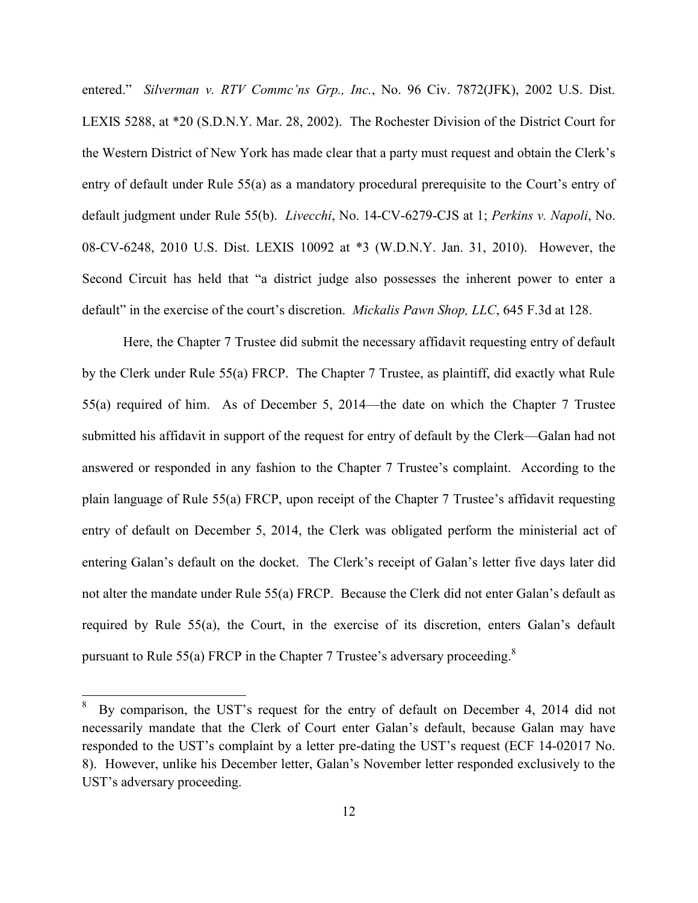entered." *Silverman v. RTV Commc'ns Grp., Inc.*, No. 96 Civ. 7872(JFK), 2002 U.S. Dist. LEXIS 5288, at \*20 (S.D.N.Y. Mar. 28, 2002). The Rochester Division of the District Court for the Western District of New York has made clear that a party must request and obtain the Clerk's entry of default under Rule 55(a) as a mandatory procedural prerequisite to the Court's entry of default judgment under Rule 55(b). *Livecchi*, No. 14-CV-6279-CJS at 1; *Perkins v. Napoli*, No. 08-CV-6248, 2010 U.S. Dist. LEXIS 10092 at \*3 (W.D.N.Y. Jan. 31, 2010). However, the Second Circuit has held that "a district judge also possesses the inherent power to enter a default" in the exercise of the court's discretion. *Mickalis Pawn Shop, LLC*, 645 F.3d at 128.

Here, the Chapter 7 Trustee did submit the necessary affidavit requesting entry of default by the Clerk under Rule 55(a) FRCP. The Chapter 7 Trustee, as plaintiff, did exactly what Rule 55(a) required of him. As of December 5, 2014—the date on which the Chapter 7 Trustee submitted his affidavit in support of the request for entry of default by the Clerk—Galan had not answered or responded in any fashion to the Chapter 7 Trustee's complaint. According to the plain language of Rule 55(a) FRCP, upon receipt of the Chapter 7 Trustee's affidavit requesting entry of default on December 5, 2014, the Clerk was obligated perform the ministerial act of entering Galan's default on the docket. The Clerk's receipt of Galan's letter five days later did not alter the mandate under Rule 55(a) FRCP. Because the Clerk did not enter Galan's default as required by Rule 55(a), the Court, in the exercise of its discretion, enters Galan's default pursuant to Rule 55(a) FRCP in the Chapter 7 Trustee's adversary proceeding.<sup>8</sup>

l

<sup>8</sup> By comparison, the UST's request for the entry of default on December 4, 2014 did not necessarily mandate that the Clerk of Court enter Galan's default, because Galan may have responded to the UST's complaint by a letter pre-dating the UST's request (ECF 14-02017 No. 8). However, unlike his December letter, Galan's November letter responded exclusively to the UST's adversary proceeding.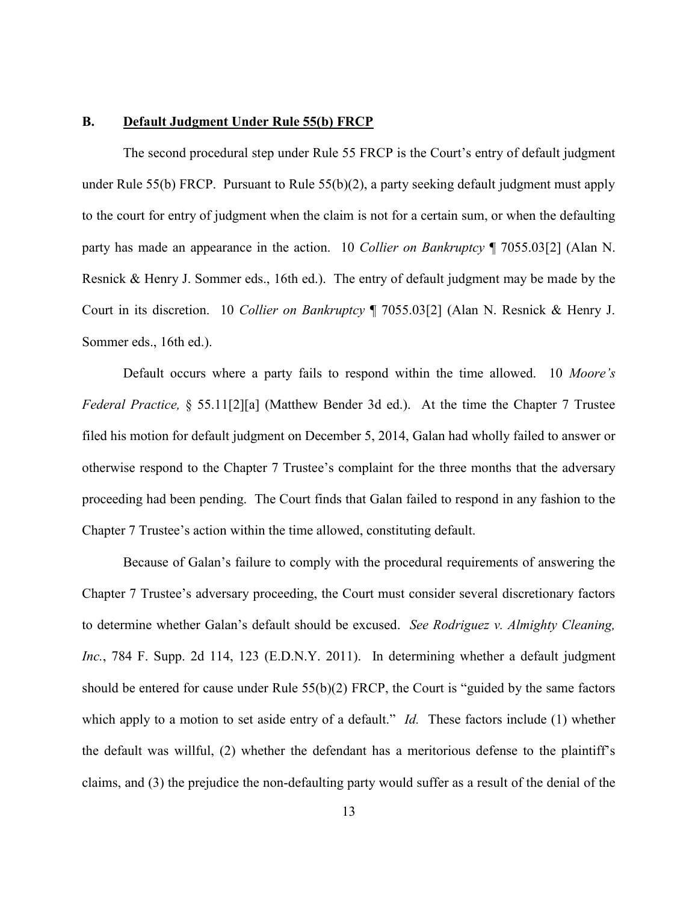#### **B. Default Judgment Under Rule 55(b) FRCP**

The second procedural step under Rule 55 FRCP is the Court's entry of default judgment under Rule 55(b) FRCP. Pursuant to Rule 55(b)(2), a party seeking default judgment must apply to the court for entry of judgment when the claim is not for a certain sum, or when the defaulting party has made an appearance in the action. 10 *Collier on Bankruptcy* ¶ 7055.03[2] (Alan N. Resnick & Henry J. Sommer eds., 16th ed.). The entry of default judgment may be made by the Court in its discretion. 10 *Collier on Bankruptcy* ¶ 7055.03[2] (Alan N. Resnick & Henry J. Sommer eds., 16th ed.).

Default occurs where a party fails to respond within the time allowed. 10 *Moore's Federal Practice,* § 55.11[2][a] (Matthew Bender 3d ed.). At the time the Chapter 7 Trustee filed his motion for default judgment on December 5, 2014, Galan had wholly failed to answer or otherwise respond to the Chapter 7 Trustee's complaint for the three months that the adversary proceeding had been pending. The Court finds that Galan failed to respond in any fashion to the Chapter 7 Trustee's action within the time allowed, constituting default.

Because of Galan's failure to comply with the procedural requirements of answering the Chapter 7 Trustee's adversary proceeding, the Court must consider several discretionary factors to determine whether Galan's default should be excused. *See Rodriguez v. Almighty Cleaning, Inc.*, 784 F. Supp. 2d 114, 123 (E.D.N.Y. 2011). In determining whether a default judgment should be entered for cause under Rule  $55(b)(2)$  FRCP, the Court is "guided by the same factors" which apply to a motion to set aside entry of a default." *Id.* These factors include (1) whether the default was willful, (2) whether the defendant has a meritorious defense to the plaintiff's claims, and (3) the prejudice the non-defaulting party would suffer as a result of the denial of the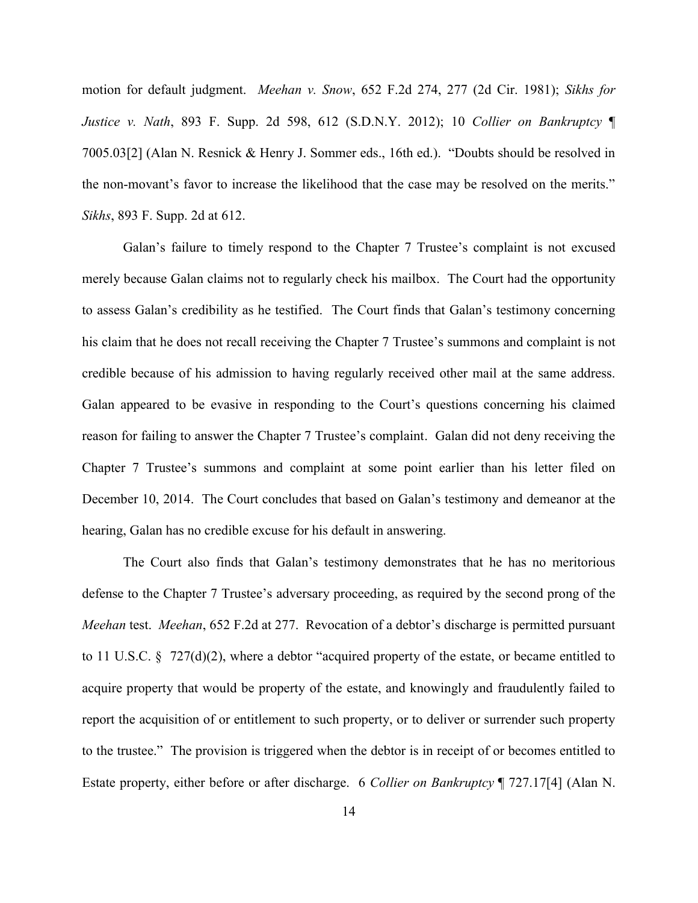motion for default judgment. *Meehan v. Snow*, 652 F.2d 274, 277 (2d Cir. 1981); *Sikhs for Justice v. Nath*, 893 F. Supp. 2d 598, 612 (S.D.N.Y. 2012); 10 *Collier on Bankruptcy* ¶ 7005.03[2] (Alan N. Resnick & Henry J. Sommer eds., 16th ed.). "Doubts should be resolved in the non-movant's favor to increase the likelihood that the case may be resolved on the merits." *Sikhs*, 893 F. Supp. 2d at 612.

Galan's failure to timely respond to the Chapter 7 Trustee's complaint is not excused merely because Galan claims not to regularly check his mailbox. The Court had the opportunity to assess Galan's credibility as he testified. The Court finds that Galan's testimony concerning his claim that he does not recall receiving the Chapter 7 Trustee's summons and complaint is not credible because of his admission to having regularly received other mail at the same address. Galan appeared to be evasive in responding to the Court's questions concerning his claimed reason for failing to answer the Chapter 7 Trustee's complaint. Galan did not deny receiving the Chapter 7 Trustee's summons and complaint at some point earlier than his letter filed on December 10, 2014. The Court concludes that based on Galan's testimony and demeanor at the hearing, Galan has no credible excuse for his default in answering.

The Court also finds that Galan's testimony demonstrates that he has no meritorious defense to the Chapter 7 Trustee's adversary proceeding, as required by the second prong of the *Meehan* test. *Meehan*, 652 F.2d at 277. Revocation of a debtor's discharge is permitted pursuant to 11 U.S.C. § 727(d)(2), where a debtor "acquired property of the estate, or became entitled to acquire property that would be property of the estate, and knowingly and fraudulently failed to report the acquisition of or entitlement to such property, or to deliver or surrender such property to the trustee." The provision is triggered when the debtor is in receipt of or becomes entitled to Estate property, either before or after discharge. 6 *Collier on Bankruptcy* ¶ 727.17[4] (Alan N.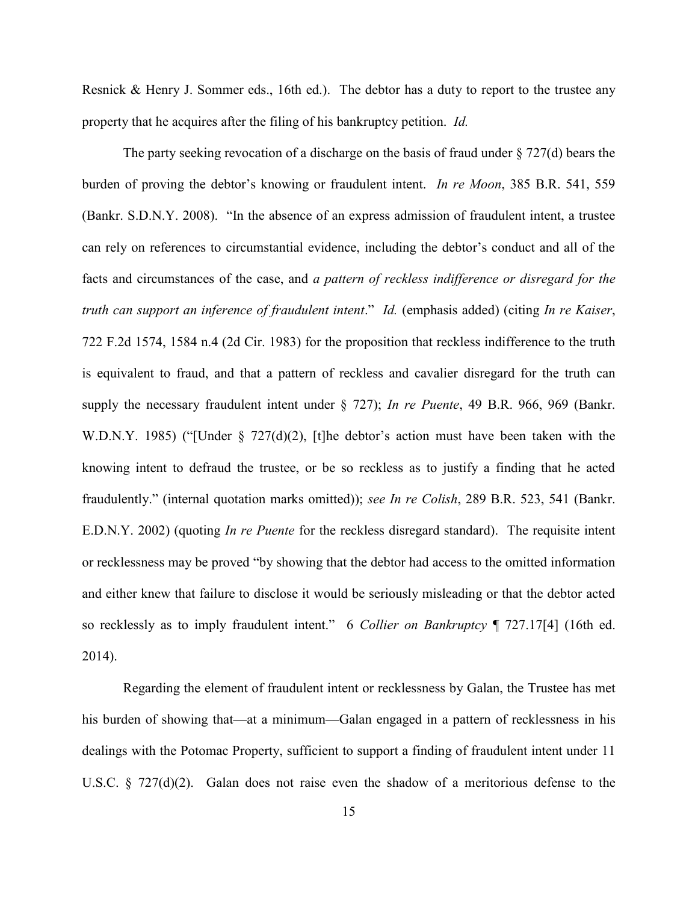Resnick & Henry J. Sommer eds., 16th ed.). The debtor has a duty to report to the trustee any property that he acquires after the filing of his bankruptcy petition. *Id.*

The party seeking revocation of a discharge on the basis of fraud under  $\S 727(d)$  bears the burden of proving the debtor's knowing or fraudulent intent. *In re Moon*, 385 B.R. 541, 559 (Bankr. S.D.N.Y. 2008). "In the absence of an express admission of fraudulent intent, a trustee can rely on references to circumstantial evidence, including the debtor's conduct and all of the facts and circumstances of the case, and *a pattern of reckless indifference or disregard for the truth can support an inference of fraudulent intent*." *Id.* (emphasis added) (citing *In re Kaiser*, 722 F.2d 1574, 1584 n.4 (2d Cir. 1983) for the proposition that reckless indifference to the truth is equivalent to fraud, and that a pattern of reckless and cavalier disregard for the truth can supply the necessary fraudulent intent under § 727); *In re Puente*, 49 B.R. 966, 969 (Bankr. W.D.N.Y. 1985) ("[Under § 727(d)(2), [t]he debtor's action must have been taken with the knowing intent to defraud the trustee, or be so reckless as to justify a finding that he acted fraudulently." (internal quotation marks omitted)); *see In re Colish*, 289 B.R. 523, 541 (Bankr. E.D.N.Y. 2002) (quoting *In re Puente* for the reckless disregard standard). The requisite intent or recklessness may be proved "by showing that the debtor had access to the omitted information and either knew that failure to disclose it would be seriously misleading or that the debtor acted so recklessly as to imply fraudulent intent." 6 *Collier on Bankruptcy* ¶ 727.17[4] (16th ed. 2014).

Regarding the element of fraudulent intent or recklessness by Galan, the Trustee has met his burden of showing that—at a minimum—Galan engaged in a pattern of recklessness in his dealings with the Potomac Property, sufficient to support a finding of fraudulent intent under 11 U.S.C. § 727(d)(2). Galan does not raise even the shadow of a meritorious defense to the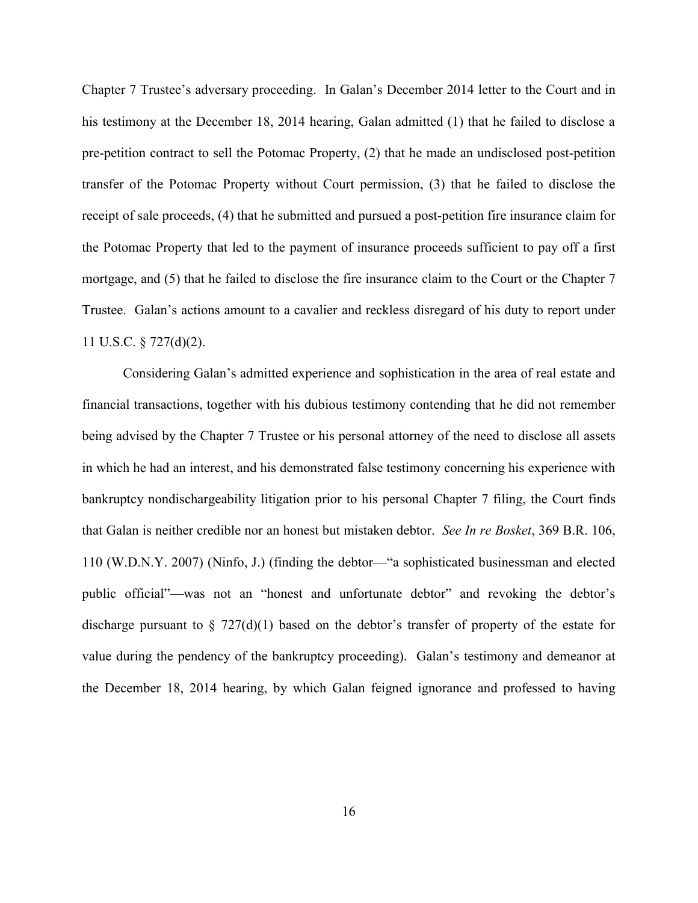Chapter 7 Trustee's adversary proceeding. In Galan's December 2014 letter to the Court and in his testimony at the December 18, 2014 hearing, Galan admitted (1) that he failed to disclose a pre-petition contract to sell the Potomac Property, (2) that he made an undisclosed post-petition transfer of the Potomac Property without Court permission, (3) that he failed to disclose the receipt of sale proceeds, (4) that he submitted and pursued a post-petition fire insurance claim for the Potomac Property that led to the payment of insurance proceeds sufficient to pay off a first mortgage, and (5) that he failed to disclose the fire insurance claim to the Court or the Chapter 7 Trustee. Galan's actions amount to a cavalier and reckless disregard of his duty to report under 11 U.S.C. § 727(d)(2).

Considering Galan's admitted experience and sophistication in the area of real estate and financial transactions, together with his dubious testimony contending that he did not remember being advised by the Chapter 7 Trustee or his personal attorney of the need to disclose all assets in which he had an interest, and his demonstrated false testimony concerning his experience with bankruptcy nondischargeability litigation prior to his personal Chapter 7 filing, the Court finds that Galan is neither credible nor an honest but mistaken debtor. *See In re Bosket*, 369 B.R. 106, 110 (W.D.N.Y. 2007) (Ninfo, J.) (finding the debtor—"a sophisticated businessman and elected public official"—was not an "honest and unfortunate debtor" and revoking the debtor's discharge pursuant to  $\S$  727(d)(1) based on the debtor's transfer of property of the estate for value during the pendency of the bankruptcy proceeding). Galan's testimony and demeanor at the December 18, 2014 hearing, by which Galan feigned ignorance and professed to having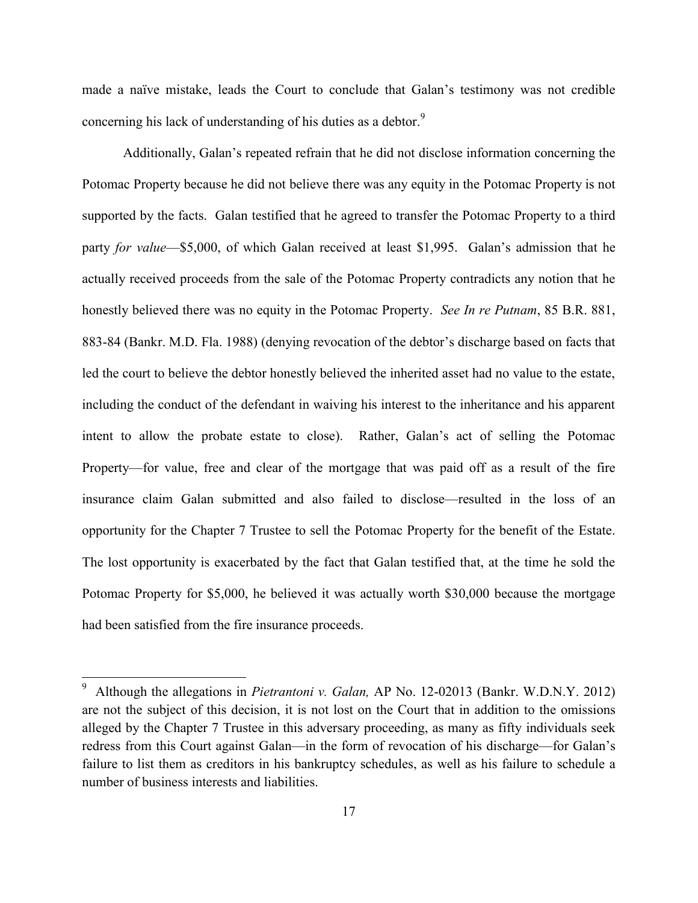made a naïve mistake, leads the Court to conclude that Galan's testimony was not credible concerning his lack of understanding of his duties as a debtor.<sup>9</sup>

Additionally, Galan's repeated refrain that he did not disclose information concerning the Potomac Property because he did not believe there was any equity in the Potomac Property is not supported by the facts. Galan testified that he agreed to transfer the Potomac Property to a third party *for value*—\$5,000, of which Galan received at least \$1,995. Galan's admission that he actually received proceeds from the sale of the Potomac Property contradicts any notion that he honestly believed there was no equity in the Potomac Property. *See In re Putnam*, 85 B.R. 881, 883-84 (Bankr. M.D. Fla. 1988) (denying revocation of the debtor's discharge based on facts that led the court to believe the debtor honestly believed the inherited asset had no value to the estate, including the conduct of the defendant in waiving his interest to the inheritance and his apparent intent to allow the probate estate to close). Rather, Galan's act of selling the Potomac Property—for value, free and clear of the mortgage that was paid off as a result of the fire insurance claim Galan submitted and also failed to disclose—resulted in the loss of an opportunity for the Chapter 7 Trustee to sell the Potomac Property for the benefit of the Estate. The lost opportunity is exacerbated by the fact that Galan testified that, at the time he sold the Potomac Property for \$5,000, he believed it was actually worth \$30,000 because the mortgage had been satisfied from the fire insurance proceeds.

 $\overline{a}$ 

<sup>9</sup> Although the allegations in *Pietrantoni v. Galan,* AP No. 12-02013 (Bankr. W.D.N.Y. 2012) are not the subject of this decision, it is not lost on the Court that in addition to the omissions alleged by the Chapter 7 Trustee in this adversary proceeding, as many as fifty individuals seek redress from this Court against Galan—in the form of revocation of his discharge—for Galan's failure to list them as creditors in his bankruptcy schedules, as well as his failure to schedule a number of business interests and liabilities.